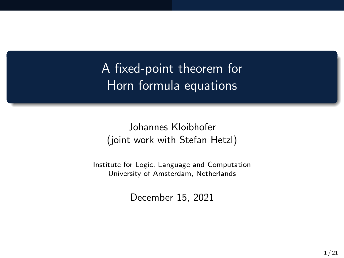A fixed-point theorem for Horn formula equations

Johannes Kloibhofer (joint work with Stefan Hetzl)

Institute for Logic, Language and Computation University of Amsterdam, Netherlands

December 15, 2021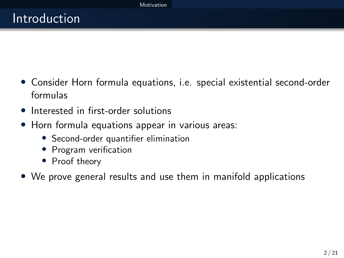- <span id="page-1-0"></span>• Consider Horn formula equations, i.e. special existential second-order formulas
- Interested in first-order solutions
- Horn formula equations appear in various areas:
	- Second-order quantifier elimination
	- Program verification
	- Proof theory
- We prove general results and use them in manifold applications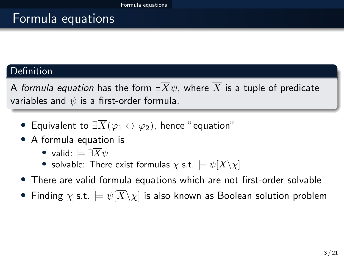# <span id="page-2-0"></span>Formula equations

### Definition

A formula equation has the form  $\exists \overline{X}\psi$ , where  $\overline{X}$  is a tuple of predicate variables and  $\psi$  is a first-order formula.

- Equivalent to  $\exists \overline{X}(\varphi_1 \leftrightarrow \varphi_2)$ , hence "equation"
- A formula equation is
	- valid:  $\models \exists \overline{X}\psi$
	- solvable: There exist formulas  $\overline{\chi}$  s.t.  $\models \psi[\overline{X}\backslash \overline{\chi}]$
- There are valid formula equations which are not first-order solvable
- Finding  $\overline{\chi}$  s.t.  $\models \psi[\overline{X}\backslash \overline{\chi}]$  is also known as Boolean solution problem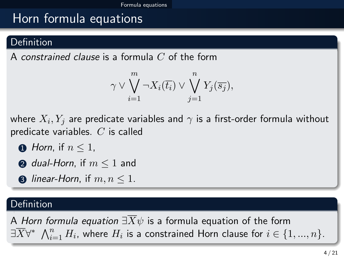# Horn formula equations

### **Definition**

A constrained clause is a formula  $C$  of the form

$$
\gamma \vee \bigvee_{i=1}^{m} \neg X_{i}(\overline{t_{i}}) \vee \bigvee_{j=1}^{n} Y_{j}(\overline{s_{j}}),
$$

where  $X_i,Y_j$  are predicate variables and  $\gamma$  is a first-order formula without predicate variables.  $C$  is called

- $\bigcap$  Horn, if  $n \leq 1$ .
- **2** dual-Horn, if  $m \leq 1$  and
- **3** linear-Horn, if  $m, n \leq 1$ .

### Definition

A Horn formula equation  $\exists \overline{X}\psi$  is a formula equation of the form  $\exists \overline{X} \forall^* \ \bigwedge_{i=1}^n H_i$ , where  $H_i$  is a constrained Horn clause for  $i \in \{1,...,n\}.$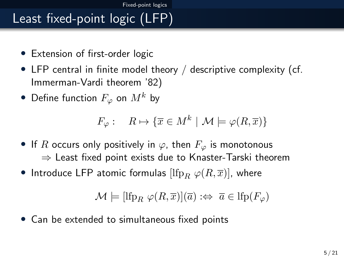# <span id="page-4-0"></span>Least fixed-point logic (LFP)

- Extension of first-order logic
- LFP central in finite model theory / descriptive complexity (cf. Immerman-Vardi theorem '82)
- Define function  $F_{\varphi}$  on  $M^k$  by

$$
F_{\varphi} : \quad R \mapsto \{ \overline{x} \in M^k \mid \mathcal{M} \models \varphi(R, \overline{x}) \}
$$

- If R occurs only positively in  $\varphi$ , then  $F_{\varphi}$  is monotonous  $\Rightarrow$  Least fixed point exists due to Knaster-Tarski theorem
- Introduce LFP atomic formulas  $[\mathrm{lfp}_R \varphi(R,\overline{x})]$ , where

$$
\mathcal{M} \models [\text{lfp}_R \ \varphi(R,\overline{x})](\overline{a}) \ \Leftrightarrow \ \overline{a} \in \text{lfp}(F_{\varphi})
$$

• Can be extended to simultaneous fixed points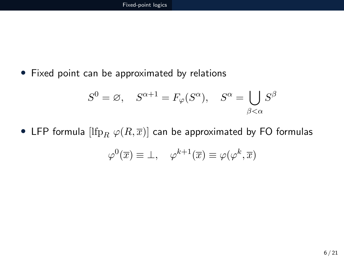• Fixed point can be approximated by relations

$$
S^{0} = \varnothing, \quad S^{\alpha+1} = F_{\varphi}(S^{\alpha}), \quad S^{\alpha} = \bigcup_{\beta < \alpha} S^{\beta}
$$

• LFP formula  $[\mathrm{lfp}_R \varphi(R,\overline{x})]$  can be approximated by FO formulas

$$
\varphi^{0}(\overline{x}) \equiv \bot, \quad \varphi^{k+1}(\overline{x}) \equiv \varphi(\varphi^{k}, \overline{x})
$$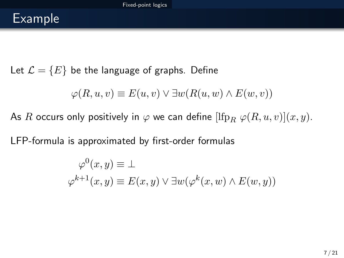# Example

Let  $\mathcal{L} = \{E\}$  be the language of graphs. Define

$$
\varphi(R, u, v) \equiv E(u, v) \lor \exists w (R(u, w) \land E(w, v))
$$

As R occurs only positively in  $\varphi$  we can define  $[\mathrm{Ifp}_R \varphi(R, u, v)](x, y)$ .

LFP-formula is approximated by first-order formulas

$$
\varphi^{0}(x, y) \equiv \bot
$$
  

$$
\varphi^{k+1}(x, y) \equiv E(x, y) \lor \exists w (\varphi^{k}(x, w) \land E(w, y))
$$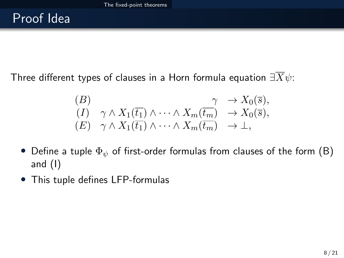<span id="page-7-0"></span>Three different types of clauses in a Horn formula equation  $\exists \overline{X}\psi$ :

$$
(B) \qquad \qquad \gamma \wedge X_1(\overline{t_1}) \wedge \cdots \wedge X_m(\overline{t_m}) \rightarrow X_0(\overline{s}),
$$
  

$$
(E) \quad \gamma \wedge X_1(\overline{t_1}) \wedge \cdots \wedge X_m(\overline{t_m}) \rightarrow \perp,
$$

- Define a tuple  $\Phi_{\psi}$  of first-order formulas from clauses of the form (B) and (I)
- This tuple defines LFP-formulas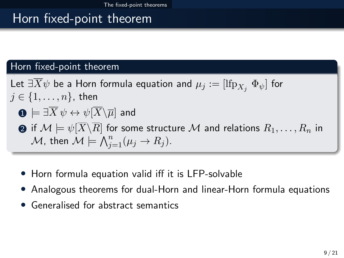# Horn fixed-point theorem

#### Horn fixed-point theorem

- Let  $\exists X \psi$  be a Horn formula equation and  $\mu_j := [\text{Ifp}_{X_j} \ \Phi_{\psi}]$  for  $j \in \{1, \ldots, n\}$ , then
	- $\mathbf{0} \models \exists \overline{X} \psi \leftrightarrow \psi[\overline{X}\backslash \overline{\mu}]$  and
	- **2** if  $\mathcal{M} \models \psi[\overline{X}\backslash\overline{R}]$  for some structure  $\mathcal{M}$  and relations  $R_1, \ldots, R_n$  in  $\mathcal M$ , then  $\overline{\mathcal M}\models\overline{\bigwedge_{j=1}^n}(\mu_j\rightarrow R_j).$
	- Horn formula equation valid iff it is LFP-solvable
	- Analogous theorems for dual-Horn and linear-Horn formula equations
	- Generalised for abstract semantics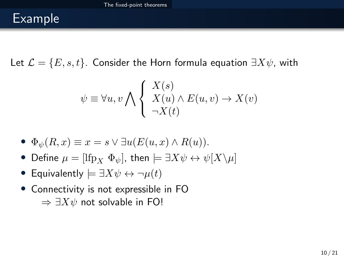# Example

Let  $\mathcal{L} = \{E, s, t\}$ . Consider the Horn formula equation  $\exists X \psi$ , with

$$
\psi \equiv \forall u, v \bigwedge \left\{ \begin{array}{l} X(s) \\ X(u) \land E(u, v) \to X(v) \\ \neg X(t) \end{array} \right.
$$

• 
$$
\Phi_{\psi}(R, x) \equiv x = s \lor \exists u (E(u, x) \land R(u)).
$$

- Define  $\mu = [\text{Ifp}_X \ \Phi_{\psi}]$ , then  $\models \exists X \psi \leftrightarrow \psi[X \setminus \mu]$
- Equivalently  $\models \exists X \psi \leftrightarrow \neg \mu(t)$
- Connectivity is not expressible in FO  $\Rightarrow \exists X \psi$  not solvable in FO!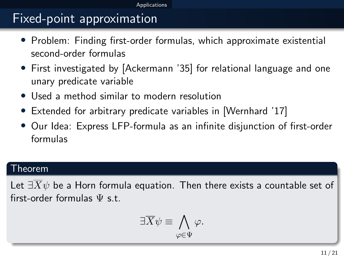# <span id="page-10-0"></span>Fixed-point approximation

- Problem: Finding first-order formulas, which approximate existential second-order formulas
- First investigated by [Ackermann '35] for relational language and one unary predicate variable
- Used a method similar to modern resolution
- Extended for arbitrary predicate variables in [Wernhard '17]
- Our Idea: Express LFP-formula as an infinite disjunction of first-order formulas

#### Theorem

Let  $\exists \overline{X}\psi$  be a Horn formula equation. Then there exists a countable set of first-order formulas  $\Psi$  s t.

$$
\exists \overline{X} \psi \equiv \bigwedge_{\varphi \in \Psi} \varphi.
$$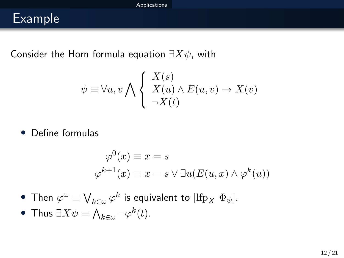# Example

Consider the Horn formula equation  $\exists X\psi$ , with

$$
\psi \equiv \forall u, v \bigwedge \left\{ \begin{array}{l} X(s) \\ X(u) \land E(u, v) \to X(v) \\ \neg X(t) \end{array} \right.
$$

• Define formulas

$$
\varphi^{0}(x) \equiv x = s
$$
  

$$
\varphi^{k+1}(x) \equiv x = s \lor \exists u (E(u, x) \land \varphi^{k}(u))
$$

- $\bullet\,$  Then  $\varphi^\omega\equiv \bigvee_{k\in\omega}\varphi^k$  is equivalent to  $[\mathrm{lfp}_X\,\, \Phi_\psi].$
- Thus  $\exists X \psi \equiv \bigwedge_{k \in \omega} \neg \varphi^k(t)$ .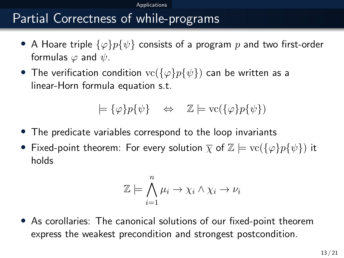#### **A**pplications

# Partial Correctness of while-programs

- A Hoare triple  $\{\varphi\}p\{\psi\}$  consists of a program p and two first-order formulas  $\varphi$  and  $\psi$ .
- The verification condition  $\text{vc}(\{\varphi\}p\{\psi\})$  can be written as a linear-Horn formula equation s.t.

$$
\models \{\varphi\} p\{\psi\} \quad \Leftrightarrow \quad \mathbb{Z} \models \text{vc}(\{\varphi\} p\{\psi\})
$$

- The predicate variables correspond to the loop invariants
- Fixed-point theorem: For every solution  $\overline{\chi}$  of  $\mathbb{Z} \models \text{vc}(\{\varphi\}p\{\psi\})$  it holds

$$
\mathbb{Z} \models \bigwedge_{i=1}^{n} \mu_i \rightarrow \chi_i \land \chi_i \rightarrow \nu_i
$$

• As corollaries: The canonical solutions of our fixed-point theorem express the weakest precondition and strongest postcondition.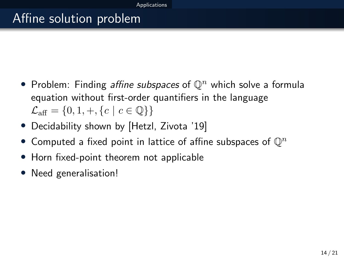# Affine solution problem

- Problem: Finding *affine subspaces* of  $\mathbb{Q}^n$  which solve a formula equation without first-order quantifiers in the language  $\mathcal{L}_{\text{aff}} = \{0, 1, +, \{c \mid c \in \mathbb{Q}\}\}\$
- Decidability shown by [Hetzl, Zivota '19]
- Computed a fixed point in lattice of affine subspaces of  $\mathbb{Q}^n$
- Horn fixed-point theorem not applicable
- Need generalisation!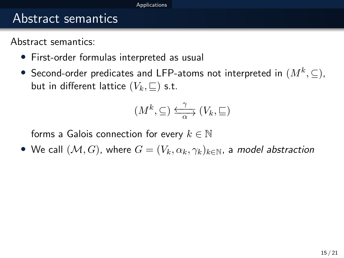#### **Annlications**

## Abstract semantics

Abstract semantics:

- First-order formulas interpreted as usual
- $\bullet\,$  Second-order predicates and LFP-atoms not interpreted in  $(M^{k},\subseteq)$ , but in different lattice  $(V_k, \sqsubseteq)$  s.t.

$$
(M^k,\subseteq)\xrightarrow[\alpha]{\gamma} (V_k,\sqsubseteq)
$$

forms a Galois connection for every  $k \in \mathbb{N}$ 

• We call  $(M, G)$ , where  $G = (V_k, \alpha_k, \gamma_k)_{k \in \mathbb{N}}$ , a model abstraction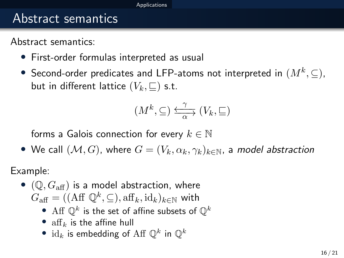#### [Applications](#page-10-0)

## Abstract semantics

Abstract semantics:

- First-order formulas interpreted as usual
- $\bullet\,$  Second-order predicates and LFP-atoms not interpreted in  $(M^{k},\subseteq)$ , but in different lattice  $(V_k, \sqsubseteq)$  s.t.

$$
(M^k,\subseteq)\xrightarrow[\alpha]{\gamma} (V_k,\sqsubseteq)
$$

forms a Galois connection for every  $k \in \mathbb{N}$ 

• We call  $(\mathcal{M}, G)$ , where  $G = (V_k, \alpha_k, \gamma_k)_{k \in \mathbb{N}}$ , a model abstraction

Example:

- $(\mathbb{Q}, G_{\text{aff}})$  is a model abstraction, where  $G_{\text{aff}} = ((\text{Aff}\ \mathbb{Q}^k,\subseteq),\text{aff}_k,\text{id}_k)_{k\in\mathbb{N}}$  with
	- $\bullet\,$  Aff  $\mathbb{Q}^k$  is the set of affine subsets of  $\mathbb{Q}^k$
	- $aff_k$  is the affine hull
	- $id_k$  is embedding of Aff  $\mathbb{Q}^k$  in  $\mathbb{Q}^k$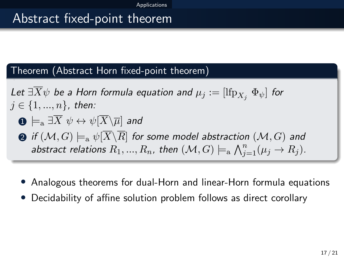# Abstract fixed-point theorem

#### Theorem (Abstract Horn fixed-point theorem)

Let  $\exists X \psi$  be a Horn formula equation and  $\mu_j := [\text{Ifp}_{X_i} \ \Phi_{\psi}]$  for  $j \in \{1, ..., n\}$ , then:

$$
\textbf{O} \models_{\text{a}} \exists \overline{X} \ \psi \leftrightarrow \psi[\overline{X} \backslash \overline{\mu}] \ \text{and}
$$

 $\bullet$  if  $(\mathcal{M}, G) \models_{\text{a}} \psi[X \backslash R]$  for some model abstraction  $(\mathcal{M}, G)$  and abstract relations  $R_1, ..., R_n$ , then  $(\mathcal{M}, G) \models_{\text{a}} \bigwedge_{j=1}^n (\mu_j \to R_j).$ 

- Analogous theorems for dual-Horn and linear-Horn formula equations
- Decidability of affine solution problem follows as direct corollary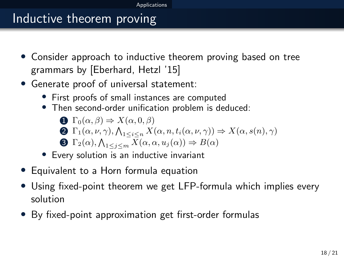# Inductive theorem proving

- Consider approach to inductive theorem proving based on tree grammars by [Eberhard, Hetzl '15]
- Generate proof of universal statement:
	- First proofs of small instances are computed
	- Then second-order unification problem is deduced:

\n- **①** 
$$
\Gamma_0(\alpha, \beta) \Rightarrow X(\alpha, 0, \beta)
$$
\n- **②**  $\Gamma_1(\alpha, \nu, \gamma), \bigwedge_{1 \leq i \leq n} X(\alpha, n, t_i(\alpha, \nu, \gamma)) \Rightarrow X(\alpha, s(n), \gamma)$
\n- **③**  $\Gamma_2(\alpha), \bigwedge_{1 \leq j \leq m} X(\alpha, \alpha, u_j(\alpha)) \Rightarrow B(\alpha)$
\n

- Every solution is an inductive invariant
- Equivalent to a Horn formula equation
- Using fixed-point theorem we get LFP-formula which implies every solution
- By fixed-point approximation get first-order formulas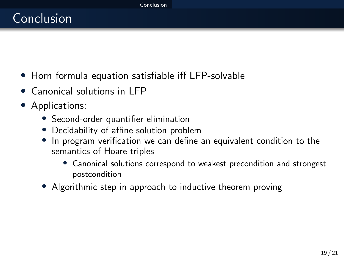# <span id="page-18-0"></span>Conclusion

- Horn formula equation satisfiable iff LFP-solvable
- Canonical solutions in LFP
- Applications:
	- Second-order quantifier elimination
	- Decidability of affine solution problem
	- In program verification we can define an equivalent condition to the semantics of Hoare triples
		- Canonical solutions correspond to weakest precondition and strongest postcondition
	- Algorithmic step in approach to inductive theorem proving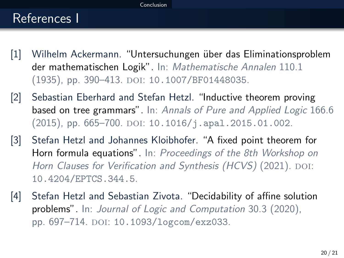#### [Conclusion](#page-18-0)

## References I

- [1] Wilhelm Ackermann. "Untersuchungen über das Eliminationsproblem der mathematischen Logik". In: Mathematische Annalen 110.1 (1935), pp. 390–413. DOI: [10.1007/BF01448035](https://doi.org/10.1007/BF01448035).
- [2] Sebastian Eberhard and Stefan Hetzl. "Inductive theorem proving based on tree grammars". In: Annals of Pure and Applied Logic 166.6  $(2015)$ , pp. 665–700. DOI: [10.1016/j.apal.2015.01.002](https://doi.org/10.1016/j.apal.2015.01.002).
- [3] Stefan Hetzl and Johannes Kloibhofer. "A fixed point theorem for Horn formula equations". In: Proceedings of the 8th Workshop on Horn Clauses for Verification and Synthesis (HCVS) (2021). DOI: [10.4204/EPTCS.344.5](https://doi.org/10.4204/EPTCS.344.5).
- [4] Stefan Hetzl and Sebastian Zivota. "Decidability of affine solution problems". In: Journal of Logic and Computation 30.3 (2020), pp. 697-714. DOI: [10.1093/logcom/exz033](https://doi.org/10.1093/logcom/exz033).